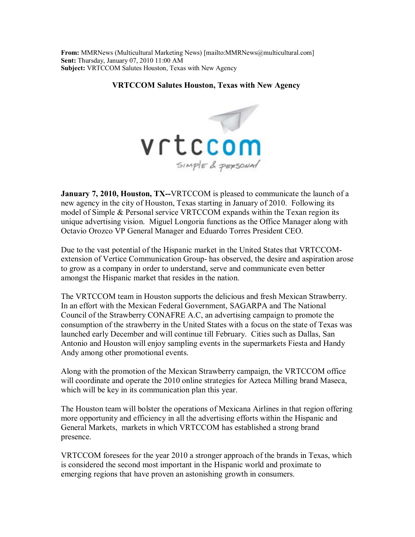**From:** MMRNews (Multicultural Marketing News) [mailto:MMRNews@multicultural.com] **Sent:** Thursday, January 07, 2010 11:00 AM **Subject:** VRTCCOM Salutes Houston, Texas with New Agency

## **VRTCCOM Salutes Houston, Texas with New Agency**



**January 7, 2010, Houston, TX--VRTCCOM** is pleased to communicate the launch of a new agency in the city of Houston, Texas starting in January of 2010. Following its model of Simple & Personal service VRTCCOM expands within the Texan region its unique advertising vision. Miguel Longoria functions as the Office Manager along with Octavio Orozco VP General Manager and Eduardo Torres President CEO.

Due to the vast potential of the Hispanic market in the United States that VRTCCOMextension of Vertice Communication Group- has observed, the desire and aspiration arose to grow as a company in order to understand, serve and communicate even better amongst the Hispanic market that resides in the nation.

The VRTCCOM team in Houston supports the delicious and fresh Mexican Strawberry. In an effort with the Mexican Federal Government, SAGARPA and The National Council of the Strawberry CONAFRE A.C, an advertising campaign to promote the consumption of the strawberry in the United States with a focus on the state of Texas was launched early December and will continue till February. Cities such as Dallas, San Antonio and Houston will enjoy sampling events in the supermarkets Fiesta and Handy Andy among other promotional events.

Along with the promotion of the Mexican Strawberry campaign, the VRTCCOM office will coordinate and operate the 2010 online strategies for Azteca Milling brand Maseca, which will be key in its communication plan this year.

The Houston team will bolster the operations of Mexicana Airlines in that region offering more opportunity and efficiency in all the advertising efforts within the Hispanic and General Markets, markets in which VRTCCOM has established a strong brand presence.

VRTCCOM foresees for the year 2010 a stronger approach of the brands in Texas, which is considered the second most important in the Hispanic world and proximate to emerging regions that have proven an astonishing growth in consumers.